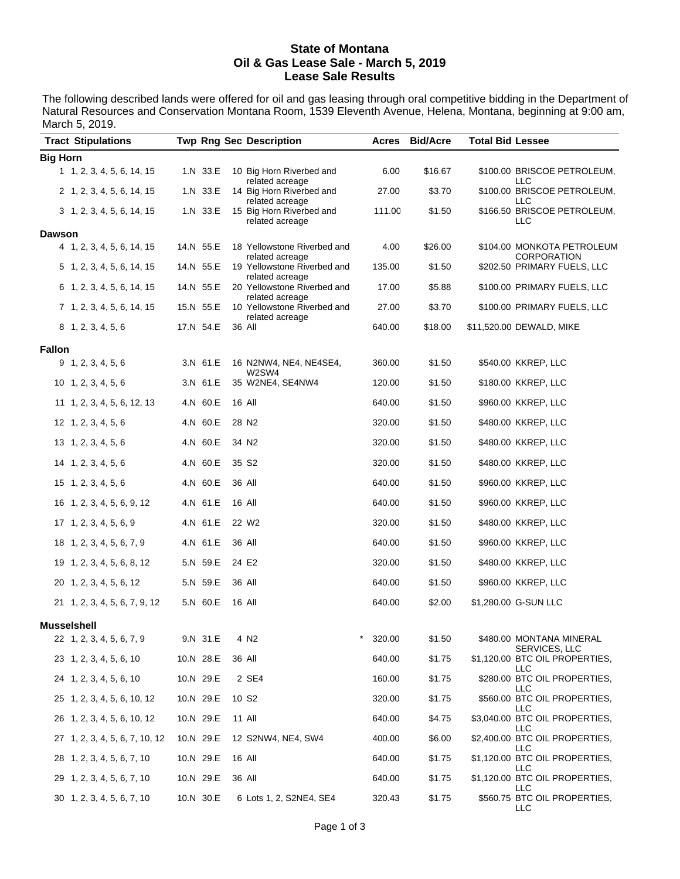## **State of Montana Oil & Gas Lease Sale - March 5, 2019 Lease Sale Results**

The following described lands were offered for oil and gas leasing through oral competitive bidding in the Department of Natural Resources and Conservation Montana Room, 1539 Eleventh Avenue, Helena, Montana, beginning at 9:00 am, March 5, 2019.

| <b>Tract Stipulations</b>      |           | <b>Twp Rng Sec Description</b>                 | Acres                | <b>Bid/Acre</b> | <b>Total Bid Lessee</b> |                                                        |
|--------------------------------|-----------|------------------------------------------------|----------------------|-----------------|-------------------------|--------------------------------------------------------|
| <b>Big Horn</b>                |           |                                                |                      |                 |                         |                                                        |
| 1 1, 2, 3, 4, 5, 6, 14, 15     | 1.N 33.E  | 10 Big Horn Riverbed and<br>related acreage    | 6.00                 | \$16.67         |                         | \$100.00 BRISCOE PETROLEUM,<br>LLC                     |
| 2 1, 2, 3, 4, 5, 6, 14, 15     | 1.N 33.E  | 14 Big Horn Riverbed and<br>related acreage    | 27.00                | \$3.70          |                         | \$100.00 BRISCOE PETROLEUM,<br>LLC                     |
| 3 1, 2, 3, 4, 5, 6, 14, 15     | 1.N 33.E  | 15 Big Horn Riverbed and<br>related acreage    | 111.00               | \$1.50          |                         | \$166.50 BRISCOE PETROLEUM,<br>LLC                     |
| <b>Dawson</b>                  |           |                                                |                      |                 |                         |                                                        |
| 4 1, 2, 3, 4, 5, 6, 14, 15     | 14.N 55.E | 18 Yellowstone Riverbed and<br>related acreage | 4.00                 | \$26.00         |                         | \$104.00 MONKOTA PETROLEUM<br><b>CORPORATION</b>       |
| 5 1, 2, 3, 4, 5, 6, 14, 15     | 14.N 55.E | 19 Yellowstone Riverbed and<br>related acreage | 135.00               | \$1.50          |                         | \$202.50 PRIMARY FUELS, LLC                            |
| 6 1, 2, 3, 4, 5, 6, 14, 15     | 14.N 55.E | 20 Yellowstone Riverbed and                    | 17.00                | \$5.88          |                         | \$100.00 PRIMARY FUELS, LLC                            |
| 7 1, 2, 3, 4, 5, 6, 14, 15     | 15.N 55.E | related acreage<br>10 Yellowstone Riverbed and | 27.00                | \$3.70          |                         | \$100.00 PRIMARY FUELS, LLC                            |
| 8 1, 2, 3, 4, 5, 6             | 17.N 54.E | related acreage<br>36 All                      | 640.00               | \$18.00         |                         | \$11,520.00 DEWALD, MIKE                               |
| <b>Fallon</b>                  |           |                                                |                      |                 |                         |                                                        |
| 9, 1, 2, 3, 4, 5, 6            | 3.N 61.E  | 16 N2NW4, NE4, NE4SE4,                         | 360.00               | \$1.50          |                         | \$540.00 KKREP, LLC                                    |
| $10$ 1, 2, 3, 4, 5, 6          | 3.N 61.E  | W2SW4<br>35 W2NE4, SE4NW4                      | 120.00               | \$1.50          |                         | \$180.00 KKREP, LLC                                    |
| 11 1, 2, 3, 4, 5, 6, 12, 13    | 4.N 60.E  | 16 All                                         | 640.00               | \$1.50          |                         | \$960.00 KKREP, LLC                                    |
| $12 \quad 1, 2, 3, 4, 5, 6$    | 4.N 60.E  | 28 N2                                          | 320.00               | \$1.50          |                         | \$480.00 KKREP, LLC                                    |
| 13 1, 2, 3, 4, 5, 6            | 4.N 60.E  | 34 N <sub>2</sub>                              | 320.00               | \$1.50          |                         | \$480.00 KKREP, LLC                                    |
| 14 1, 2, 3, 4, 5, 6            | 4.N 60.E  | 35 S <sub>2</sub>                              | 320.00               | \$1.50          |                         | \$480.00 KKREP, LLC                                    |
| $15 \quad 1, 2, 3, 4, 5, 6$    | 4.N 60.E  | 36 All                                         | 640.00               | \$1.50          |                         | \$960.00 KKREP, LLC                                    |
| 16 1, 2, 3, 4, 5, 6, 9, 12     | 4.N 61.E  | 16 All                                         | 640.00               | \$1.50          |                         | \$960.00 KKREP, LLC                                    |
| 17 1, 2, 3, 4, 5, 6, 9         | 4.N 61.E  | 22 W <sub>2</sub>                              | 320.00               | \$1.50          |                         | \$480.00 KKREP, LLC                                    |
| 18 1, 2, 3, 4, 5, 6, 7, 9      | 4.N 61.E  | 36 All                                         | 640.00               | \$1.50          |                         | \$960.00 KKREP, LLC                                    |
| 19 1, 2, 3, 4, 5, 6, 8, 12     | 5.N 59.E  | 24 E2                                          | 320.00               | \$1.50          |                         | \$480.00 KKREP, LLC                                    |
| 20 1, 2, 3, 4, 5, 6, 12        | 5.N 59.E  | 36 All                                         | 640.00               | \$1.50          |                         | \$960.00 KKREP, LLC                                    |
| 21 1, 2, 3, 4, 5, 6, 7, 9, 12  | 5.N 60.E  | 16 All                                         | 640.00               | \$2.00          |                         | \$1,280.00 G-SUN LLC                                   |
| Musselshell                    |           |                                                |                      |                 |                         |                                                        |
| 22 1, 2, 3, 4, 5, 6, 7, 9      | 9.N 31.E  | 4 N <sub>2</sub>                               | $^{\star}$<br>320.00 | \$1.50          |                         | \$480.00 MONTANA MINERAL                               |
| 23 1, 2, 3, 4, 5, 6, 10        | 10.N 28.E | 36 All                                         | 640.00               | \$1.75          |                         | SERVICES, LLC<br>\$1,120.00 BTC OIL PROPERTIES,<br>LLC |
| 24 1, 2, 3, 4, 5, 6, 10        | 10.N 29.E | 2 SE4                                          | 160.00               | \$1.75          |                         | \$280.00 BTC OIL PROPERTIES,<br>LLC                    |
| 25 1, 2, 3, 4, 5, 6, 10, 12    | 10.N 29.E | 10 S <sub>2</sub>                              | 320.00               | \$1.75          |                         | \$560.00 BTC OIL PROPERTIES,<br>LLC                    |
| 26 1, 2, 3, 4, 5, 6, 10, 12    | 10.N 29.E | 11 All                                         | 640.00               | \$4.75          |                         | \$3,040.00 BTC OIL PROPERTIES,<br>LLC                  |
| 27 1, 2, 3, 4, 5, 6, 7, 10, 12 | 10.N 29.E | 12 S2NW4, NE4, SW4                             | 400.00               | \$6.00          |                         | \$2,400.00 BTC OIL PROPERTIES,                         |
| 28 1, 2, 3, 4, 5, 6, 7, 10     | 10.N 29.E | 16 All                                         | 640.00               | \$1.75          |                         | LLC<br>\$1,120.00 BTC OIL PROPERTIES,<br>LLC           |
| 29 1, 2, 3, 4, 5, 6, 7, 10     | 10.N 29.E | 36 All                                         | 640.00               | \$1.75          |                         | \$1,120.00 BTC OIL PROPERTIES,<br><b>LLC</b>           |
| 30 1, 2, 3, 4, 5, 6, 7, 10     | 10.N 30.E | 6 Lots 1, 2, S2NE4, SE4                        | 320.43               | \$1.75          |                         | \$560.75 BTC OIL PROPERTIES,<br>LLC                    |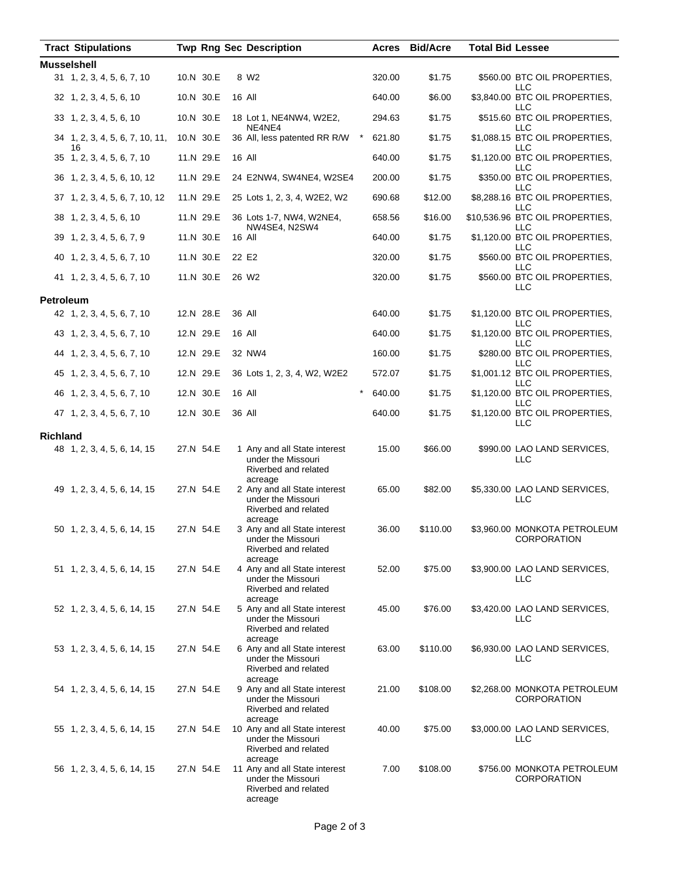|                    | <b>Tract Stipulations</b>             |           |           |        | <b>Twp Rng Sec Description</b>                                                                   | Acres  | <b>Bid/Acre</b> | <b>Total Bid Lessee</b> |                                                    |
|--------------------|---------------------------------------|-----------|-----------|--------|--------------------------------------------------------------------------------------------------|--------|-----------------|-------------------------|----------------------------------------------------|
| <b>Musselshell</b> |                                       |           |           |        |                                                                                                  |        |                 |                         |                                                    |
|                    | 31 1, 2, 3, 4, 5, 6, 7, 10            | 10.N 30.E |           |        | 8 W <sub>2</sub>                                                                                 | 320.00 | \$1.75          |                         | \$560.00 BTC OIL PROPERTIES,<br>LLC                |
|                    | 32 1, 2, 3, 4, 5, 6, 10               | 10.N 30.E |           | 16 All |                                                                                                  | 640.00 | \$6.00          |                         | \$3,840.00 BTC OIL PROPERTIES,<br>LLC              |
|                    | 33 1, 2, 3, 4, 5, 6, 10               | 10.N 30.E |           |        | 18 Lot 1, NE4NW4, W2E2,<br>NE4NE4                                                                | 294.63 | \$1.75          |                         | \$515.60 BTC OIL PROPERTIES,<br>LLC                |
|                    | 34 1, 2, 3, 4, 5, 6, 7, 10, 11,<br>16 | 10.N 30.E |           |        | $^{\star}$<br>36 All, less patented RR R/W                                                       | 621.80 | \$1.75          |                         | \$1,088.15 BTC OIL PROPERTIES,<br>LLC              |
|                    | 35 1, 2, 3, 4, 5, 6, 7, 10            |           | 11.N 29.E |        | <b>16 All</b>                                                                                    | 640.00 | \$1.75          |                         | \$1,120.00 BTC OIL PROPERTIES,<br>LLC              |
|                    | 36 1, 2, 3, 4, 5, 6, 10, 12           |           | 11.N 29.E |        | 24 E2NW4, SW4NE4, W2SE4                                                                          | 200.00 | \$1.75          |                         | \$350.00 BTC OIL PROPERTIES,<br>LLC                |
|                    | 37 1, 2, 3, 4, 5, 6, 7, 10, 12        |           | 11.N 29.E |        | 25 Lots 1, 2, 3, 4, W2E2, W2                                                                     | 690.68 | \$12.00         |                         | \$8,288.16 BTC OIL PROPERTIES,<br>LLC              |
|                    | 38 1, 2, 3, 4, 5, 6, 10               |           | 11.N 29.E |        | 36 Lots 1-7, NW4, W2NE4,<br>NW4SE4, N2SW4                                                        | 658.56 | \$16.00         |                         | \$10,536.96 BTC OIL PROPERTIES,<br>LLC             |
|                    | 39 1, 2, 3, 4, 5, 6, 7, 9             |           | 11.N 30.E | 16 All |                                                                                                  | 640.00 | \$1.75          |                         | \$1,120.00 BTC OIL PROPERTIES,<br>LLC              |
|                    | 40 1, 2, 3, 4, 5, 6, 7, 10            |           | 11.N 30.E | 22 E2  |                                                                                                  | 320.00 | \$1.75          |                         | \$560.00 BTC OIL PROPERTIES,<br>LLC                |
|                    | 41 1, 2, 3, 4, 5, 6, 7, 10            |           | 11.N 30.E |        | 26 W <sub>2</sub>                                                                                | 320.00 | \$1.75          |                         | \$560.00 BTC OIL PROPERTIES,<br>LLC                |
| <b>Petroleum</b>   |                                       |           |           |        |                                                                                                  |        |                 |                         |                                                    |
|                    | 42 1, 2, 3, 4, 5, 6, 7, 10            | 12.N 28.E |           | 36 All |                                                                                                  | 640.00 | \$1.75          |                         | \$1,120.00 BTC OIL PROPERTIES,<br>LLC              |
|                    | 43 1, 2, 3, 4, 5, 6, 7, 10            | 12.N 29.E |           | 16 All |                                                                                                  | 640.00 | \$1.75          |                         | \$1,120.00 BTC OIL PROPERTIES,<br><b>LLC</b>       |
|                    | 44 1, 2, 3, 4, 5, 6, 7, 10            | 12.N 29.E |           |        | 32 NW4                                                                                           | 160.00 | \$1.75          |                         | \$280.00 BTC OIL PROPERTIES,<br>LLC                |
|                    | 45 1, 2, 3, 4, 5, 6, 7, 10            | 12.N 29.E |           |        | 36 Lots 1, 2, 3, 4, W2, W2E2                                                                     | 572.07 | \$1.75          |                         | \$1,001.12 BTC OIL PROPERTIES,<br><b>LLC</b>       |
|                    | 46 1, 2, 3, 4, 5, 6, 7, 10            | 12.N 30.E |           | 16 All |                                                                                                  | 640.00 | \$1.75          |                         | \$1,120.00 BTC OIL PROPERTIES,<br>LLC              |
|                    | 47 1, 2, 3, 4, 5, 6, 7, 10            |           | 12.N 30.E | 36 All |                                                                                                  | 640.00 | \$1.75          |                         | \$1,120.00 BTC OIL PROPERTIES,<br><b>LLC</b>       |
| <b>Richland</b>    |                                       |           |           |        |                                                                                                  |        |                 |                         |                                                    |
|                    | 48 1, 2, 3, 4, 5, 6, 14, 15           |           | 27.N 54.E |        | 1 Any and all State interest<br>under the Missouri<br>Riverbed and related<br>acreage            | 15.00  | \$66.00         |                         | \$990.00 LAO LAND SERVICES,<br>LLC                 |
|                    | 49 1, 2, 3, 4, 5, 6, 14, 15           |           | 27.N 54.E |        | 2 Any and all State interest<br>under the Missouri<br>Riverbed and related                       | 65.00  | \$82.00         |                         | \$5,330.00 LAO LAND SERVICES,<br>LLC               |
|                    | 50 1, 2, 3, 4, 5, 6, 14, 15           | 27.N 54.E |           |        | acreage<br>3 Any and all State interest<br>under the Missouri<br>Riverbed and related            | 36.00  | \$110.00        |                         | \$3,960.00 MONKOTA PETROLEUM<br><b>CORPORATION</b> |
|                    | 51 1, 2, 3, 4, 5, 6, 14, 15           |           | 27.N 54.E |        | acreage<br>4 Any and all State interest<br>under the Missouri<br>Riverbed and related            | 52.00  | \$75.00         |                         | \$3,900.00 LAO LAND SERVICES,<br><b>LLC</b>        |
|                    | 52 1, 2, 3, 4, 5, 6, 14, 15           |           | 27.N 54.E |        | acreage<br>5 Any and all State interest<br>under the Missouri<br>Riverbed and related            | 45.00  | \$76.00         |                         | \$3,420.00 LAO LAND SERVICES,<br>LLC               |
|                    | 53 1, 2, 3, 4, 5, 6, 14, 15           |           | 27.N 54.E |        | acreage<br>6 Any and all State interest<br>under the Missouri<br>Riverbed and related            | 63.00  | \$110.00        |                         | \$6,930.00 LAO LAND SERVICES,<br>LLC               |
|                    | 54 1, 2, 3, 4, 5, 6, 14, 15           |           | 27.N 54.E |        | acreage<br>9 Any and all State interest<br>under the Missouri<br>Riverbed and related<br>acreage | 21.00  | \$108.00        |                         | \$2,268.00 MONKOTA PETROLEUM<br><b>CORPORATION</b> |
|                    | 55 1, 2, 3, 4, 5, 6, 14, 15           |           | 27.N 54.E |        | 10 Any and all State interest<br>under the Missouri<br>Riverbed and related<br>acreage           | 40.00  | \$75.00         |                         | \$3,000.00 LAO LAND SERVICES,<br>LLC               |
|                    | 56 1, 2, 3, 4, 5, 6, 14, 15           |           | 27.N 54.E |        | 11 Any and all State interest<br>under the Missouri<br>Riverbed and related<br>acreage           | 7.00   | \$108.00        |                         | \$756.00 MONKOTA PETROLEUM<br><b>CORPORATION</b>   |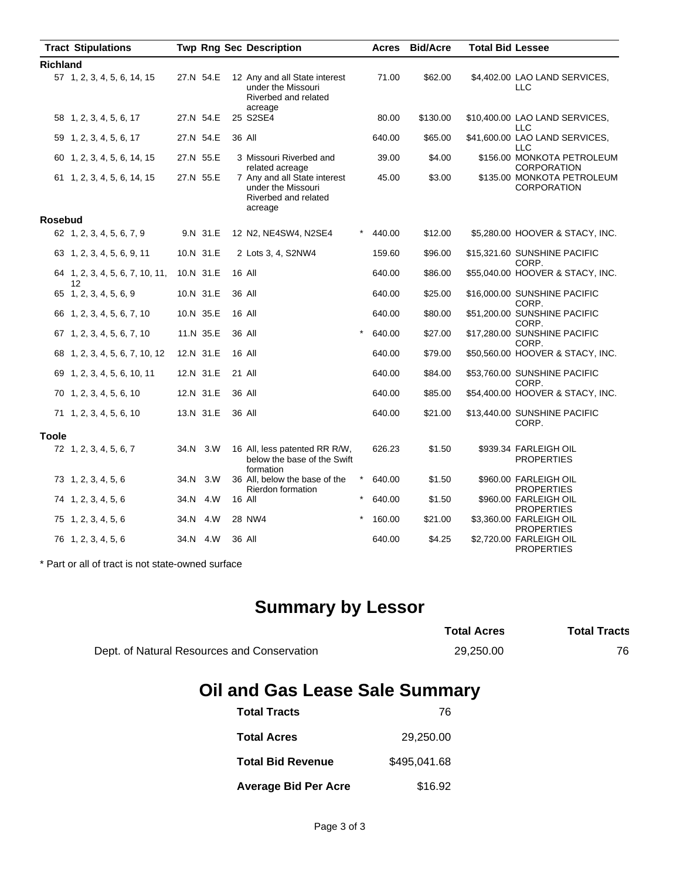| <b>Tract Stipulations</b>             |           | <b>Twp Rng Sec Description</b>                                                        |            | Acres  | <b>Bid/Acre</b> | <b>Total Bid Lessee</b> |                                                  |
|---------------------------------------|-----------|---------------------------------------------------------------------------------------|------------|--------|-----------------|-------------------------|--------------------------------------------------|
| <b>Richland</b>                       |           |                                                                                       |            |        |                 |                         |                                                  |
| 57 1, 2, 3, 4, 5, 6, 14, 15           | 27.N 54.E | 12 Any and all State interest<br>under the Missouri<br>Riverbed and related           |            | 71.00  | \$62.00         |                         | \$4,402.00 LAO LAND SERVICES,<br>LLC             |
| 58 1, 2, 3, 4, 5, 6, 17               | 27.N 54.E | acreage<br>25 S2SE4                                                                   |            | 80.00  | \$130.00        |                         | \$10,400.00 LAO LAND SERVICES,<br><b>LLC</b>     |
| 59 1, 2, 3, 4, 5, 6, 17               | 27.N 54.E | 36 All                                                                                |            | 640.00 | \$65.00         |                         | \$41,600.00 LAO LAND SERVICES,<br>LLC            |
| 60 1, 2, 3, 4, 5, 6, 14, 15           | 27.N 55.E | 3 Missouri Riverbed and<br>related acreage                                            |            | 39.00  | \$4.00          |                         | \$156.00 MONKOTA PETROLEUM<br><b>CORPORATION</b> |
| 61 1, 2, 3, 4, 5, 6, 14, 15           | 27.N 55.E | 7 Any and all State interest<br>under the Missouri<br>Riverbed and related<br>acreage |            | 45.00  | \$3.00          |                         | \$135.00 MONKOTA PETROLEUM<br><b>CORPORATION</b> |
| Rosebud                               |           |                                                                                       |            |        |                 |                         |                                                  |
| 62 1, 2, 3, 4, 5, 6, 7, 9             | 9.N 31.E  | 12 N2, NE4SW4, N2SE4                                                                  | *          | 440.00 | \$12.00         |                         | \$5,280.00 HOOVER & STACY, INC.                  |
| 63 1, 2, 3, 4, 5, 6, 9, 11            | 10.N 31.E | 2 Lots 3, 4, S2NW4                                                                    |            | 159.60 | \$96.00         |                         | \$15,321.60 SUNSHINE PACIFIC<br>CORP.            |
| 64 1, 2, 3, 4, 5, 6, 7, 10, 11,<br>12 | 10.N 31.E | 16 All                                                                                |            | 640.00 | \$86.00         |                         | \$55,040.00 HOOVER & STACY, INC.                 |
| 65 1, 2, 3, 4, 5, 6, 9                | 10.N 31.E | 36 All                                                                                |            | 640.00 | \$25.00         |                         | \$16,000.00 SUNSHINE PACIFIC<br>CORP.            |
| 66 1, 2, 3, 4, 5, 6, 7, 10            | 10.N 35.E | 16 All                                                                                |            | 640.00 | \$80.00         |                         | \$51,200.00 SUNSHINE PACIFIC<br>CORP.            |
| 67 1, 2, 3, 4, 5, 6, 7, 10            | 11.N 35.E | 36 All                                                                                | $\star$    | 640.00 | \$27.00         |                         | \$17,280.00 SUNSHINE PACIFIC<br>CORP.            |
| 68 1, 2, 3, 4, 5, 6, 7, 10, 12        | 12.N 31.E | 16 All                                                                                |            | 640.00 | \$79.00         |                         | \$50,560.00 HOOVER & STACY, INC.                 |
| 69 1, 2, 3, 4, 5, 6, 10, 11           | 12.N 31.E | 21 All                                                                                |            | 640.00 | \$84.00         |                         | \$53,760.00 SUNSHINE PACIFIC<br>CORP.            |
| 70 1, 2, 3, 4, 5, 6, 10               | 12.N 31.E | 36 All                                                                                |            | 640.00 | \$85.00         |                         | \$54,400.00 HOOVER & STACY, INC.                 |
| 71 1, 2, 3, 4, 5, 6, 10               | 13.N 31.E | 36 All                                                                                |            | 640.00 | \$21.00         |                         | \$13,440.00 SUNSHINE PACIFIC<br>CORP.            |
| <b>Toole</b>                          |           |                                                                                       |            |        |                 |                         |                                                  |
| 72 1, 2, 3, 4, 5, 6, 7                | 34.N 3.W  | 16 All, less patented RR R/W,<br>below the base of the Swift                          |            | 626.23 | \$1.50          |                         | \$939.34 FARLEIGH OIL<br><b>PROPERTIES</b>       |
| 73 1, 2, 3, 4, 5, 6                   | 34.N 3.W  | formation<br>36 All, below the base of the<br><b>Rierdon formation</b>                | $\star$    | 640.00 | \$1.50          |                         | \$960.00 FARLEIGH OIL<br><b>PROPERTIES</b>       |
| 74 1, 2, 3, 4, 5, 6                   | 34.N 4.W  | 16 All                                                                                | $^{\star}$ | 640.00 | \$1.50          |                         | \$960.00 FARLEIGH OIL<br><b>PROPERTIES</b>       |
| 75 1, 2, 3, 4, 5, 6                   | 34.N 4.W  | 28 NW4                                                                                |            | 160.00 | \$21.00         |                         | \$3,360.00 FARLEIGH OIL<br><b>PROPERTIES</b>     |
| 76 1, 2, 3, 4, 5, 6                   | 34.N 4.W  | 36 All                                                                                |            | 640.00 | \$4.25          |                         | \$2,720.00 FARLEIGH OIL<br><b>PROPERTIES</b>     |

\* Part or all of tract is not state-owned surface

# **Summary by Lessor**

|                                             | <b>Total Acres</b> | <b>Total Tracts</b> |
|---------------------------------------------|--------------------|---------------------|
| Dept. of Natural Resources and Conservation | 29.250.00          | 76.                 |

# **Oil and Gas Lease Sale Summary**

| <b>Total Tracts</b>         | 76           |
|-----------------------------|--------------|
| <b>Total Acres</b>          | 29.250.00    |
| <b>Total Bid Revenue</b>    | \$495.041.68 |
| <b>Average Bid Per Acre</b> | \$16.92      |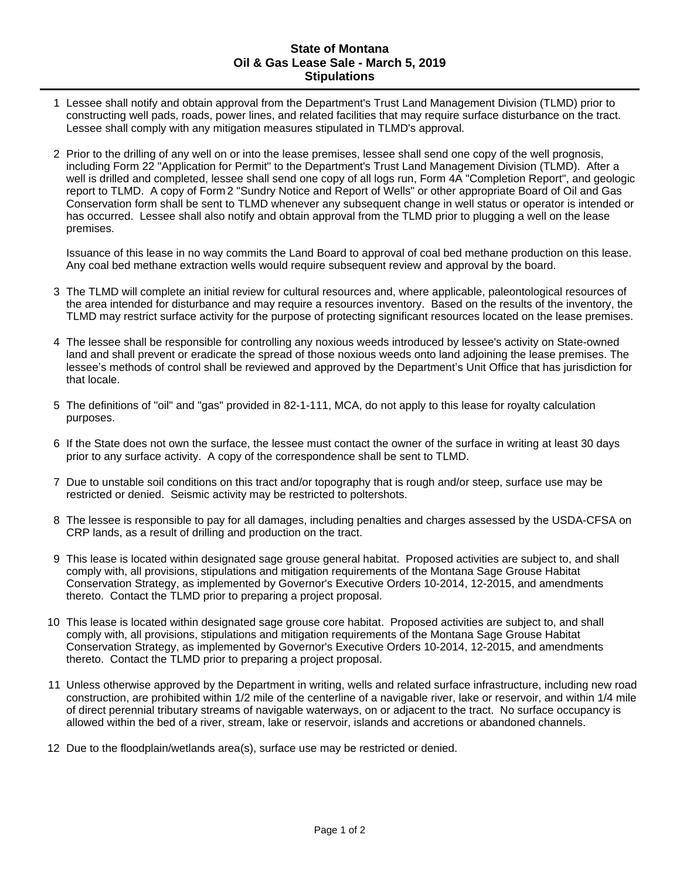## **State of Montana Oil & Gas Lease Sale - March 5, 2019 Stipulations**

- 1 Lessee shall notify and obtain approval from the Department's Trust Land Management Division (TLMD) prior to constructing well pads, roads, power lines, and related facilities that may require surface disturbance on the tract. Lessee shall comply with any mitigation measures stipulated in TLMD's approval.
- 2 Prior to the drilling of any well on or into the lease premises, lessee shall send one copy of the well prognosis, including Form 22 "Application for Permit" to the Department's Trust Land Management Division (TLMD). After a well is drilled and completed, lessee shall send one copy of all logs run, Form 4A "Completion Report", and geologic report to TLMD. A copy of Form 2 "Sundry Notice and Report of Wells" or other appropriate Board of Oil and Gas Conservation form shall be sent to TLMD whenever any subsequent change in well status or operator is intended or has occurred. Lessee shall also notify and obtain approval from the TLMD prior to plugging a well on the lease premises.

Issuance of this lease in no way commits the Land Board to approval of coal bed methane production on this lease. Any coal bed methane extraction wells would require subsequent review and approval by the board.

- 3 The TLMD will complete an initial review for cultural resources and, where applicable, paleontological resources of the area intended for disturbance and may require a resources inventory. Based on the results of the inventory, the TLMD may restrict surface activity for the purpose of protecting significant resources located on the lease premises.
- 4 The lessee shall be responsible for controlling any noxious weeds introduced by lessee's activity on State-owned land and shall prevent or eradicate the spread of those noxious weeds onto land adjoining the lease premises. The lessee's methods of control shall be reviewed and approved by the Department's Unit Office that has jurisdiction for that locale.
- 5 The definitions of "oil" and "gas" provided in 82-1-111, MCA, do not apply to this lease for royalty calculation purposes.
- 6 If the State does not own the surface, the lessee must contact the owner of the surface in writing at least 30 days prior to any surface activity. A copy of the correspondence shall be sent to TLMD.
- 7 Due to unstable soil conditions on this tract and/or topography that is rough and/or steep, surface use may be restricted or denied. Seismic activity may be restricted to poltershots.
- 8 The lessee is responsible to pay for all damages, including penalties and charges assessed by the USDA-CFSA on CRP lands, as a result of drilling and production on the tract.
- 9 This lease is located within designated sage grouse general habitat. Proposed activities are subject to, and shall comply with, all provisions, stipulations and mitigation requirements of the Montana Sage Grouse Habitat Conservation Strategy, as implemented by Governor's Executive Orders 10-2014, 12-2015, and amendments thereto. Contact the TLMD prior to preparing a project proposal.
- 10 This lease is located within designated sage grouse core habitat. Proposed activities are subject to, and shall comply with, all provisions, stipulations and mitigation requirements of the Montana Sage Grouse Habitat Conservation Strategy, as implemented by Governor's Executive Orders 10-2014, 12-2015, and amendments thereto. Contact the TLMD prior to preparing a project proposal.
- 11 Unless otherwise approved by the Department in writing, wells and related surface infrastructure, including new road construction, are prohibited within 1/2 mile of the centerline of a navigable river, lake or reservoir, and within 1/4 mile of direct perennial tributary streams of navigable waterways, on or adjacent to the tract. No surface occupancy is allowed within the bed of a river, stream, lake or reservoir, islands and accretions or abandoned channels.
- 12 Due to the floodplain/wetlands area(s), surface use may be restricted or denied.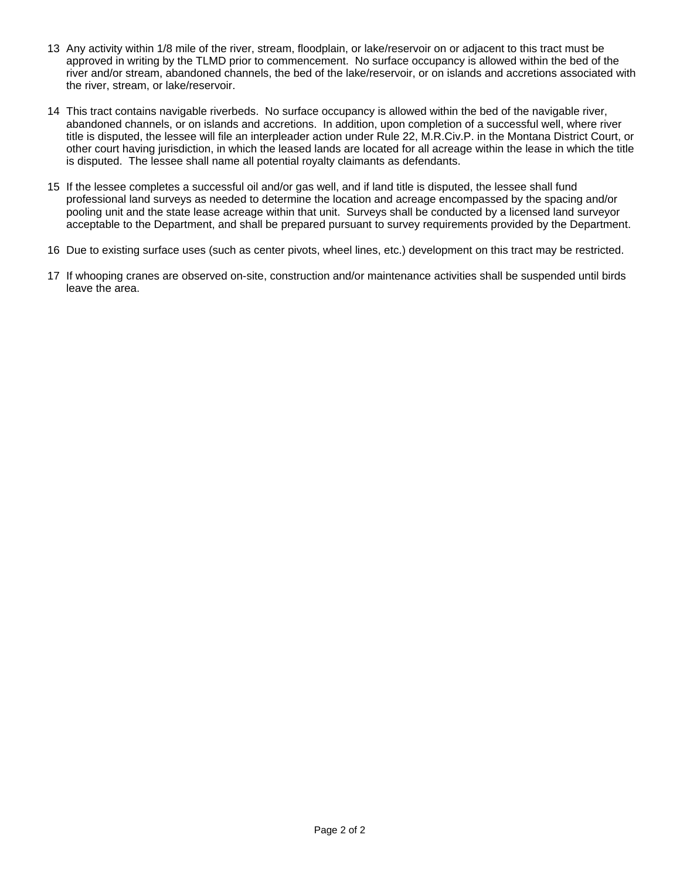- 13 Any activity within 1/8 mile of the river, stream, floodplain, or lake/reservoir on or adjacent to this tract must be approved in writing by the TLMD prior to commencement. No surface occupancy is allowed within the bed of the river and/or stream, abandoned channels, the bed of the lake/reservoir, or on islands and accretions associated with the river, stream, or lake/reservoir.
- 14 This tract contains navigable riverbeds. No surface occupancy is allowed within the bed of the navigable river, abandoned channels, or on islands and accretions. In addition, upon completion of a successful well, where river title is disputed, the lessee will file an interpleader action under Rule 22, M.R.Civ.P. in the Montana District Court, or other court having jurisdiction, in which the leased lands are located for all acreage within the lease in which the title is disputed. The lessee shall name all potential royalty claimants as defendants.
- 15 If the lessee completes a successful oil and/or gas well, and if land title is disputed, the lessee shall fund professional land surveys as needed to determine the location and acreage encompassed by the spacing and/or pooling unit and the state lease acreage within that unit. Surveys shall be conducted by a licensed land surveyor acceptable to the Department, and shall be prepared pursuant to survey requirements provided by the Department.
- 16 Due to existing surface uses (such as center pivots, wheel lines, etc.) development on this tract may be restricted.
- 17 If whooping cranes are observed on-site, construction and/or maintenance activities shall be suspended until birds leave the area.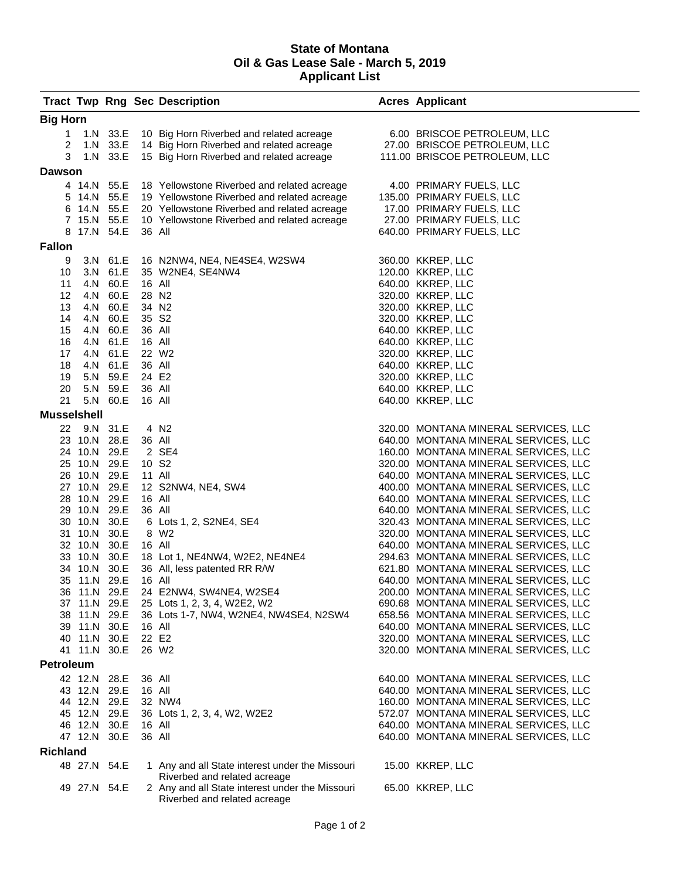## **State of Montana Oil & Gas Lease Sale - March 5, 2019 Applicant List**

|                    |              |                      |                   | <b>Tract Twp Rng Sec Description</b>                                                | <b>Acres Applicant</b>                                                       |
|--------------------|--------------|----------------------|-------------------|-------------------------------------------------------------------------------------|------------------------------------------------------------------------------|
| <b>Big Horn</b>    |              |                      |                   |                                                                                     |                                                                              |
| 1                  |              |                      |                   | 1.N 33.E 10 Big Horn Riverbed and related acreage                                   | 6.00 BRISCOE PETROLEUM, LLC                                                  |
| 2                  |              |                      |                   | 1.N 33.E 14 Big Horn Riverbed and related acreage                                   | 27.00 BRISCOE PETROLEUM, LLC                                                 |
| 3                  |              |                      |                   | 1.N 33.E 15 Big Horn Riverbed and related acreage                                   | 111.00 BRISCOE PETROLEUM, LLC                                                |
| <b>Dawson</b>      |              |                      |                   |                                                                                     |                                                                              |
|                    |              |                      |                   | 4 14.N 55.E 18 Yellowstone Riverbed and related acreage                             | 4.00 PRIMARY FUELS, LLC                                                      |
|                    |              |                      |                   | 5 14.N 55.E 19 Yellowstone Riverbed and related acreage                             | 135.00 PRIMARY FUELS, LLC                                                    |
|                    | 6 14.N 55.E  |                      |                   | 20 Yellowstone Riverbed and related acreage                                         | 17.00 PRIMARY FUELS, LLC                                                     |
|                    |              |                      |                   | 7 15.N 55.E 10 Yellowstone Riverbed and related acreage                             | 27.00 PRIMARY FUELS, LLC                                                     |
|                    | 8 17.N 54.E  |                      | 36 All            |                                                                                     | 640.00 PRIMARY FUELS, LLC                                                    |
| <b>Fallon</b>      |              |                      |                   |                                                                                     |                                                                              |
| 9                  |              | 3.N 61.E             |                   | 16 N2NW4, NE4, NE4SE4, W2SW4                                                        | 360.00 KKREP, LLC                                                            |
| 10                 |              | 3.N 61.E             |                   | 35 W2NE4, SE4NW4                                                                    | 120.00 KKREP, LLC                                                            |
| 11                 |              | 4.N 60.E             | 16 All            |                                                                                     | 640.00 KKREP, LLC                                                            |
| 12                 |              | 4.N 60.E             |                   | 28 N <sub>2</sub>                                                                   | 320.00 KKREP, LLC                                                            |
| 13                 |              | 4.N 60.E             |                   | 34 N <sub>2</sub>                                                                   | 320.00 KKREP, LLC                                                            |
| 14                 |              | 4.N 60.E             | 35 S <sub>2</sub> |                                                                                     | 320.00 KKREP, LLC                                                            |
| 15                 |              | 4.N 60.E             | 36 All            |                                                                                     | 640.00 KKREP, LLC                                                            |
| 16                 |              | 4.N 61.E             | 16 All            |                                                                                     | 640.00 KKREP, LLC                                                            |
| 17                 |              | 4.N 61.E             |                   | 22 W <sub>2</sub>                                                                   | 320.00 KKREP, LLC                                                            |
| 18                 |              | 4.N 61.E             | 36 All            |                                                                                     | 640.00 KKREP, LLC                                                            |
| 19                 |              | 5.N 59.E             | 24 E2             |                                                                                     | 320.00 KKREP, LLC                                                            |
| 20<br>21           |              | 5.N 59.E<br>5.N 60.E | 36 All<br>16 All  |                                                                                     | 640.00 KKREP, LLC<br>640.00 KKREP, LLC                                       |
| <b>Musselshell</b> |              |                      |                   |                                                                                     |                                                                              |
|                    | 22 9.N 31.E  |                      |                   | 4 N <sub>2</sub>                                                                    | 320.00 MONTANA MINERAL SERVICES, LLC                                         |
|                    | 23 10.N 28.E |                      | 36 All            |                                                                                     | 640.00 MONTANA MINERAL SERVICES, LLC                                         |
|                    | 24 10.N 29.E |                      |                   | 2 SE4                                                                               | 160.00 MONTANA MINERAL SERVICES, LLC                                         |
|                    | 25 10.N 29.E |                      | 10 S <sub>2</sub> |                                                                                     | 320.00 MONTANA MINERAL SERVICES, LLC                                         |
|                    | 26 10.N 29.E |                      | 11 All            |                                                                                     | 640.00 MONTANA MINERAL SERVICES, LLC                                         |
|                    | 27 10.N 29.E |                      |                   | 12 S2NW4, NE4, SW4                                                                  | 400.00 MONTANA MINERAL SERVICES, LLC                                         |
|                    | 28 10.N 29.E |                      | 16 All            |                                                                                     | 640.00 MONTANA MINERAL SERVICES, LLC                                         |
|                    | 29 10.N 29.E |                      | 36 All            |                                                                                     | 640.00 MONTANA MINERAL SERVICES, LLC                                         |
|                    | 30 10.N 30.E |                      |                   | 6 Lots 1, 2, S2NE4, SE4                                                             | 320.43 MONTANA MINERAL SERVICES, LLC                                         |
|                    | 31 10.N 30.E |                      |                   | 8 W2                                                                                | 320.00 MONTANA MINERAL SERVICES, LLC                                         |
|                    | 32 10.N 30.E |                      | 16 All            |                                                                                     | 640.00 MONTANA MINERAL SERVICES, LLC                                         |
|                    | 33 10.N 30.E |                      |                   | 18 Lot 1, NE4NW4, W2E2, NE4NE4                                                      | 294.63 MONTANA MINERAL SERVICES, LLC                                         |
|                    | 34 10.N 30.E |                      |                   | 36 All, less patented RR R/W                                                        | 621.80 MONTANA MINERAL SERVICES, LLC                                         |
|                    | 35 11.N 29.E |                      | 16 All            |                                                                                     | 640.00 MONTANA MINERAL SERVICES, LLC                                         |
|                    |              |                      |                   | 36 11.N 29.E 24 E2NW4, SW4NE4, W2SE4                                                | 200.00 MONTANA MINERAL SERVICES, LLC<br>690.68 MONTANA MINERAL SERVICES, LLC |
|                    | 38 11.N 29.E |                      |                   | 37 11.N 29.E 25 Lots 1, 2, 3, 4, W2E2, W2<br>36 Lots 1-7, NW4, W2NE4, NW4SE4, N2SW4 | 658.56 MONTANA MINERAL SERVICES, LLC                                         |
|                    | 39 11.N 30.E |                      | 16 All            |                                                                                     | 640.00 MONTANA MINERAL SERVICES, LLC                                         |
|                    | 40 11.N 30.E |                      |                   | 22 E2                                                                               | 320.00 MONTANA MINERAL SERVICES, LLC                                         |
|                    | 41 11.N 30.E |                      |                   | 26 W <sub>2</sub>                                                                   | 320.00 MONTANA MINERAL SERVICES, LLC                                         |
| <b>Petroleum</b>   |              |                      |                   |                                                                                     |                                                                              |
|                    | 42 12.N 28.E |                      | 36 All            |                                                                                     | 640.00 MONTANA MINERAL SERVICES, LLC                                         |
|                    | 43 12.N 29.E |                      | 16 All            |                                                                                     | 640.00 MONTANA MINERAL SERVICES, LLC                                         |
|                    | 44 12.N 29.E |                      |                   | 32 NW4                                                                              | 160.00 MONTANA MINERAL SERVICES, LLC                                         |
|                    | 45 12.N 29.E |                      |                   | 36 Lots 1, 2, 3, 4, W2, W2E2                                                        | 572.07 MONTANA MINERAL SERVICES, LLC                                         |
|                    | 46 12.N 30.E |                      | 16 All            |                                                                                     | 640.00 MONTANA MINERAL SERVICES, LLC                                         |
|                    | 47 12.N 30.E |                      | 36 All            |                                                                                     | 640.00 MONTANA MINERAL SERVICES, LLC                                         |
| <b>Richland</b>    |              |                      |                   |                                                                                     |                                                                              |
|                    | 48 27.N 54.E |                      |                   | 1 Any and all State interest under the Missouri<br>Riverbed and related acreage     | 15.00 KKREP, LLC                                                             |
|                    | 49 27.N 54.E |                      |                   | 2 Any and all State interest under the Missouri<br>Riverbed and related acreage     | 65.00 KKREP, LLC                                                             |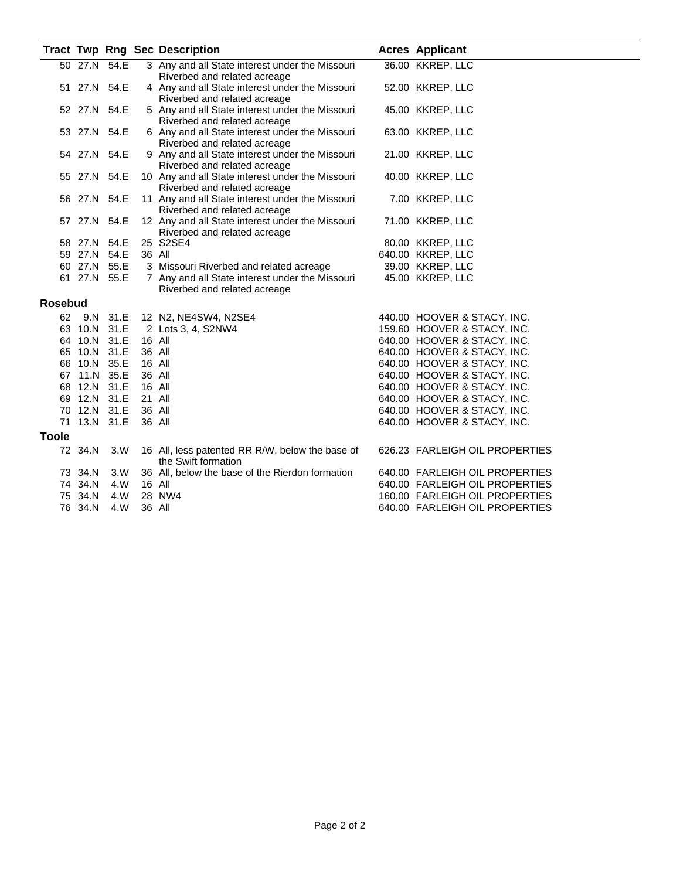|                |              |              |        | <b>Tract Twp Rng Sec Description</b>                                             | <b>Acres Applicant</b>                                     |
|----------------|--------------|--------------|--------|----------------------------------------------------------------------------------|------------------------------------------------------------|
|                |              | 50 27.N 54.E |        | 3 Any and all State interest under the Missouri                                  | 36.00 KKREP, LLC                                           |
|                |              |              |        | Riverbed and related acreage                                                     |                                                            |
|                | 51 27.N 54.E |              |        | 4 Any and all State interest under the Missouri                                  | 52.00 KKREP, LLC                                           |
|                |              |              |        | Riverbed and related acreage                                                     |                                                            |
|                | 52 27.N 54.E |              |        | 5 Any and all State interest under the Missouri                                  | 45.00 KKREP, LLC                                           |
|                |              |              |        | Riverbed and related acreage                                                     |                                                            |
|                | 53 27.N 54.E |              |        | 6 Any and all State interest under the Missouri                                  | 63.00 KKREP, LLC                                           |
|                |              |              |        | Riverbed and related acreage                                                     |                                                            |
|                | 54 27.N 54.E |              |        | 9 Any and all State interest under the Missouri                                  | 21.00 KKREP, LLC                                           |
|                |              |              |        | Riverbed and related acreage                                                     |                                                            |
|                | 55 27.N 54.E |              |        | 10 Any and all State interest under the Missouri                                 | 40.00 KKREP, LLC                                           |
|                |              |              |        | Riverbed and related acreage                                                     |                                                            |
|                |              | 56 27.N 54.E |        | 11 Any and all State interest under the Missouri                                 | 7.00 KKREP, LLC                                            |
|                | 57 27.N 54.E |              |        | Riverbed and related acreage<br>12 Any and all State interest under the Missouri | 71.00 KKREP, LLC                                           |
|                |              |              |        | Riverbed and related acreage                                                     |                                                            |
|                |              | 58 27.N 54.E |        | 25 S2SE4                                                                         | 80.00 KKREP, LLC                                           |
|                |              | 59 27.N 54.E |        | 36 All                                                                           | 640.00 KKREP, LLC                                          |
|                | 60 27.N 55.E |              |        | 3 Missouri Riverbed and related acreage                                          | 39.00 KKREP, LLC                                           |
|                |              | 61 27.N 55.E |        | 7 Any and all State interest under the Missouri                                  | 45.00 KKREP, LLC                                           |
|                |              |              |        | Riverbed and related acreage                                                     |                                                            |
| <b>Rosebud</b> |              |              |        |                                                                                  |                                                            |
|                |              |              |        |                                                                                  |                                                            |
|                |              | 62 9.N 31.E  |        | 12 N2, NE4SW4, N2SE4                                                             | 440.00 HOOVER & STACY, INC.                                |
|                |              | 63 10.N 31.E |        | 2 Lots 3, 4, S2NW4                                                               | 159.60 HOOVER & STACY, INC.                                |
|                | 65 10.N 31.E | 64 10.N 31.E |        | 16 All<br>36 All                                                                 | 640.00 HOOVER & STACY, INC.                                |
|                |              | 66 10.N 35.E | 16 All |                                                                                  | 640.00 HOOVER & STACY, INC.                                |
|                | 67 11.N 35.E |              | 36 All |                                                                                  | 640.00 HOOVER & STACY, INC.<br>640.00 HOOVER & STACY, INC. |
|                |              | 68 12.N 31.E | 16 All |                                                                                  | 640.00 HOOVER & STACY, INC.                                |
|                |              | 69 12.N 31.E | 21 All |                                                                                  | 640.00 HOOVER & STACY, INC.                                |
|                |              | 70 12.N 31.E |        | 36 All                                                                           | 640.00 HOOVER & STACY, INC.                                |
|                |              | 71 13.N 31.E | 36 All |                                                                                  | 640.00 HOOVER & STACY, INC.                                |
|                |              |              |        |                                                                                  |                                                            |
| <b>Toole</b>   |              |              |        |                                                                                  |                                                            |
|                | 72 34.N      | 3.W          |        | 16 All, less patented RR R/W, below the base of                                  | 626.23 FARLEIGH OIL PROPERTIES                             |
|                |              |              |        | the Swift formation                                                              |                                                            |
|                | 73 34.N      | 3.W          |        | 36 All, below the base of the Rierdon formation                                  | 640.00 FARLEIGH OIL PROPERTIES                             |
|                | 74 34.N      | 4.W          |        | 16 All                                                                           | 640.00 FARLEIGH OIL PROPERTIES                             |
|                | 75 34.N      | 4.W          |        | 28 NW4                                                                           | 160.00 FARLEIGH OIL PROPERTIES                             |
|                | 76 34.N      | 4.W          |        | 36 All                                                                           | 640.00 FARLEIGH OIL PROPERTIES                             |
|                |              |              |        |                                                                                  |                                                            |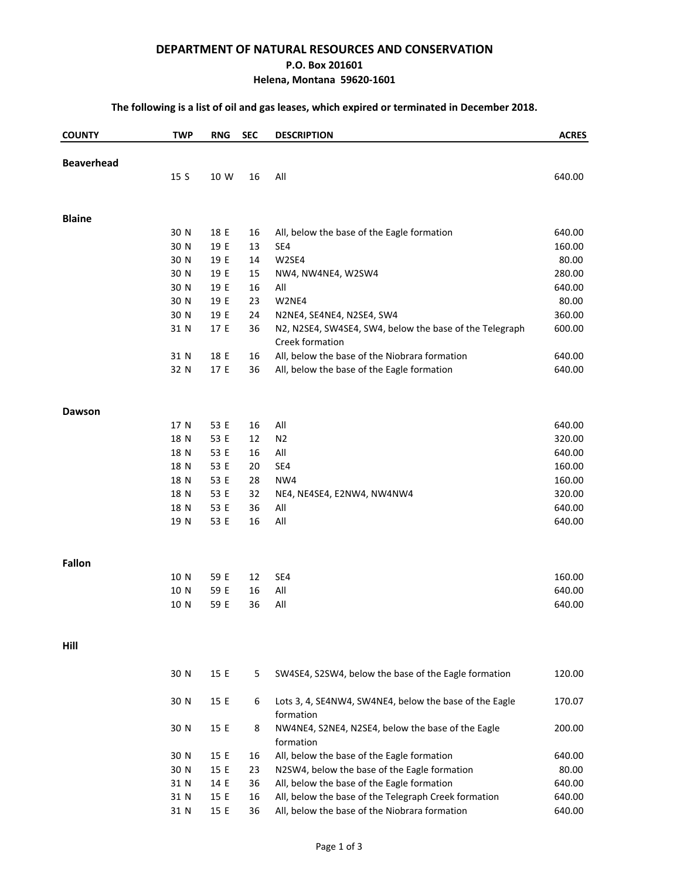### **DEPARTMENT OF NATURAL RESOURCES AND CONSERVATION**

#### **P.O. Box 201601**

### **Helena, Montana 59620-1601**

## **The following is a list of oil and gas leases, which expired or terminated in December 2018.**

| <b>COUNTY</b>     | <b>TWP</b> | <b>RNG</b> | <b>SEC</b> | <b>DESCRIPTION</b>                                             | <b>ACRES</b> |
|-------------------|------------|------------|------------|----------------------------------------------------------------|--------------|
| <b>Beaverhead</b> |            |            |            |                                                                |              |
|                   | 15 S       | 10 W       | 16         | All                                                            | 640.00       |
|                   |            |            |            |                                                                |              |
| <b>Blaine</b>     |            |            |            |                                                                |              |
|                   | 30 N       | 18 E       | 16         | All, below the base of the Eagle formation                     | 640.00       |
|                   | 30 N       | 19 E       | 13         | SE4                                                            | 160.00       |
|                   | 30 N       | 19 E       | 14         | W2SE4                                                          | 80.00        |
|                   | 30 N       | 19 E       | 15         | NW4, NW4NE4, W2SW4                                             | 280.00       |
|                   | 30 N       | 19 E       | 16         | All                                                            | 640.00       |
|                   | 30 N       | 19 E       | 23         | W2NE4                                                          | 80.00        |
|                   | 30 N       | 19 E       | 24         | N2NE4, SE4NE4, N2SE4, SW4                                      | 360.00       |
|                   | 31 N       | 17 E       | 36         | N2, N2SE4, SW4SE4, SW4, below the base of the Telegraph        | 600.00       |
|                   |            |            |            | Creek formation                                                |              |
|                   | 31 N       | 18 E       | 16         | All, below the base of the Niobrara formation                  | 640.00       |
|                   | 32 N       | 17 E       | 36         | All, below the base of the Eagle formation                     | 640.00       |
| Dawson            |            |            |            |                                                                |              |
|                   | 17 N       | 53 E       | 16         | All                                                            | 640.00       |
|                   | 18 N       | 53 E       | 12         | N <sub>2</sub>                                                 | 320.00       |
|                   | 18 N       | 53 E       | 16         | All                                                            | 640.00       |
|                   | 18 N       | 53 E       | 20         | SE4                                                            | 160.00       |
|                   | 18 N       | 53 E       | 28         | NW4                                                            | 160.00       |
|                   | 18 N       | 53 E       | 32         | NE4, NE4SE4, E2NW4, NW4NW4                                     | 320.00       |
|                   | 18 N       | 53 E       | 36         | All                                                            | 640.00       |
|                   | 19 N       | 53 E       | 16         | All                                                            | 640.00       |
|                   |            |            |            |                                                                |              |
| <b>Fallon</b>     |            |            |            |                                                                |              |
|                   | 10 N       | 59 E       | 12         | SE4                                                            | 160.00       |
|                   | 10 N       | 59 E       | 16         | All                                                            | 640.00       |
|                   | 10 N       | 59 E       | 36         | All                                                            | 640.00       |
| Hill              |            |            |            |                                                                |              |
|                   | 30 N       | 15 E       | 5          | SW4SE4, S2SW4, below the base of the Eagle formation           | 120.00       |
|                   | 30 N       | 15 E       | 6          | Lots 3, 4, SE4NW4, SW4NE4, below the base of the Eagle         | 170.07       |
|                   | 30 N       | 15 E       | 8          | formation<br>NW4NE4, S2NE4, N2SE4, below the base of the Eagle | 200.00       |
|                   |            |            |            | formation                                                      |              |
|                   | 30 N       | 15 E       | 16         | All, below the base of the Eagle formation                     | 640.00       |
|                   | 30 N       | 15 E       | 23         | N2SW4, below the base of the Eagle formation                   | 80.00        |
|                   | 31 N       | 14 E       | 36         | All, below the base of the Eagle formation                     | 640.00       |
|                   | 31 N       | 15 E       | 16         | All, below the base of the Telegraph Creek formation           | 640.00       |
|                   | 31 N       | 15 E       | 36         | All, below the base of the Niobrara formation                  | 640.00       |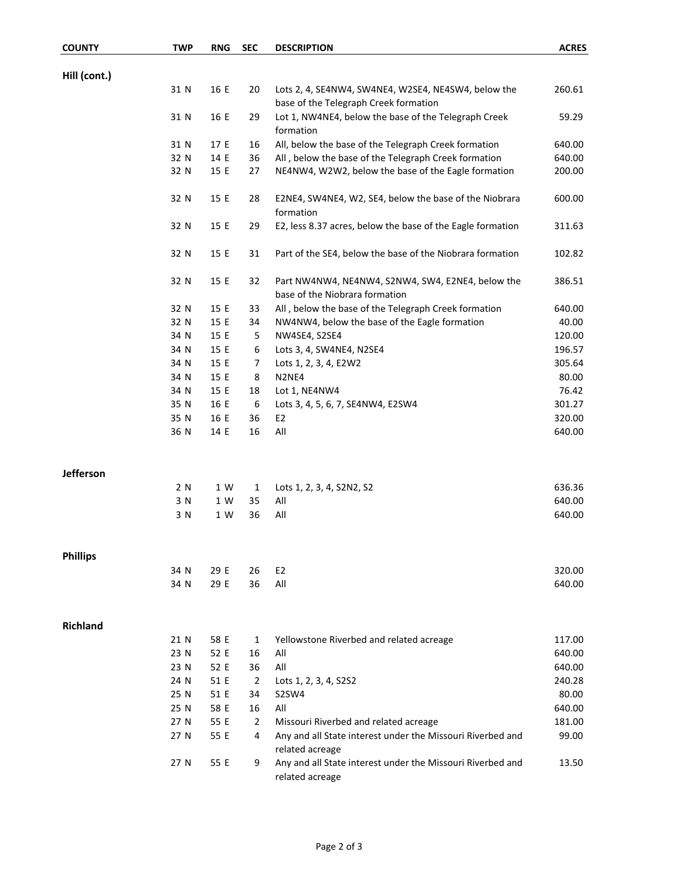| <b>COUNTY</b>    | <b>TWP</b>   | <b>RNG</b>   | <b>SEC</b>     | <b>DESCRIPTION</b>                                                                  | <b>ACRES</b>     |
|------------------|--------------|--------------|----------------|-------------------------------------------------------------------------------------|------------------|
|                  |              |              |                |                                                                                     |                  |
| Hill (cont.)     | 31 N         | 16 E         | 20             | Lots 2, 4, SE4NW4, SW4NE4, W2SE4, NE4SW4, below the                                 | 260.61           |
|                  |              |              |                | base of the Telegraph Creek formation                                               |                  |
|                  | 31 N         | 16 E         | 29             | Lot 1, NW4NE4, below the base of the Telegraph Creek                                | 59.29            |
|                  |              |              |                | formation                                                                           |                  |
|                  | 31 N         | 17 E         | 16             | All, below the base of the Telegraph Creek formation                                | 640.00           |
|                  | 32 N         | 14 E         | 36             | All, below the base of the Telegraph Creek formation                                | 640.00           |
|                  | 32 N         | 15 E         | 27             | NE4NW4, W2W2, below the base of the Eagle formation                                 | 200.00           |
|                  | 32 N         | 15 E         | 28             | E2NE4, SW4NE4, W2, SE4, below the base of the Niobrara<br>formation                 | 600.00           |
|                  | 32 N         | 15 E         | 29             | E2, less 8.37 acres, below the base of the Eagle formation                          | 311.63           |
|                  | 32 N         | 15 E         | 31             | Part of the SE4, below the base of the Niobrara formation                           | 102.82           |
|                  | 32 N         | 15 E         | 32             | Part NW4NW4, NE4NW4, S2NW4, SW4, E2NE4, below the<br>base of the Niobrara formation | 386.51           |
|                  | 32 N         | 15 E         | 33             | All, below the base of the Telegraph Creek formation                                | 640.00           |
|                  | 32 N         | 15 E         | 34             | NW4NW4, below the base of the Eagle formation                                       | 40.00            |
|                  | 34 N         | 15 E         | 5              | NW4SE4, S2SE4                                                                       | 120.00           |
|                  | 34 N         | 15 E         | 6              | Lots 3, 4, SW4NE4, N2SE4                                                            | 196.57           |
|                  | 34 N         | 15 E         | 7              | Lots 1, 2, 3, 4, E2W2                                                               | 305.64           |
|                  | 34 N         | 15 E         | 8              | N2NE4                                                                               | 80.00            |
|                  | 34 N         | 15 E         | 18             | Lot 1, NE4NW4                                                                       | 76.42            |
|                  | 35 N         | 16 E         | 6              | Lots 3, 4, 5, 6, 7, SE4NW4, E2SW4                                                   | 301.27           |
|                  | 35 N         | 16 E         | 36             | E <sub>2</sub>                                                                      | 320.00           |
|                  | 36 N         | 14 E         | 16             | All                                                                                 | 640.00           |
| <b>Jefferson</b> |              |              |                |                                                                                     |                  |
|                  | 2 N          | 1 W          | $\mathbf{1}$   | Lots 1, 2, 3, 4, S2N2, S2                                                           | 636.36           |
|                  | 3 N          | 1 W          | 35             | All                                                                                 | 640.00           |
|                  | 3 N          | 1 W          | 36             | All                                                                                 | 640.00           |
|                  |              |              |                |                                                                                     |                  |
| <b>Phillips</b>  | 34 N         | 29 E         | 26             | E <sub>2</sub>                                                                      | 320.00           |
|                  | 34 N         | 29 E         | 36             | All                                                                                 | 640.00           |
|                  |              |              |                |                                                                                     |                  |
| <b>Richland</b>  |              |              |                |                                                                                     |                  |
|                  | 21 N         | 58 E         | 1              | Yellowstone Riverbed and related acreage                                            | 117.00           |
|                  | 23 N<br>23 N | 52 E         | 16<br>36       | All<br>All                                                                          | 640.00<br>640.00 |
|                  | 24 N         | 52 E         | $\overline{2}$ |                                                                                     | 240.28           |
|                  | 25 N         | 51 E<br>51 E | 34             | Lots 1, 2, 3, 4, S2S2<br>S2SW4                                                      | 80.00            |
|                  | 25 N         | 58 E         | 16             | All                                                                                 | 640.00           |
|                  | 27 N         | 55 E         | $\overline{2}$ | Missouri Riverbed and related acreage                                               | 181.00           |
|                  | 27 N         | 55 E         | 4              | Any and all State interest under the Missouri Riverbed and                          | 99.00            |
|                  |              |              |                | related acreage                                                                     |                  |
|                  | 27 N         | 55 E         | 9              | Any and all State interest under the Missouri Riverbed and<br>related acreage       | 13.50            |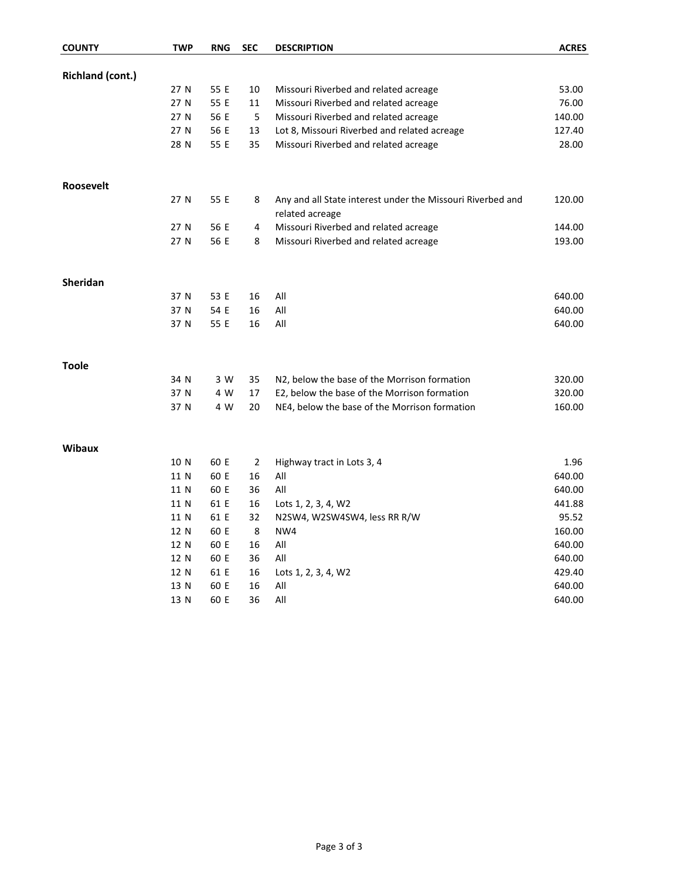| <b>COUNTY</b>    | <b>TWP</b> | <b>RNG</b> | <b>SEC</b> | <b>DESCRIPTION</b>                                                            | <b>ACRES</b> |
|------------------|------------|------------|------------|-------------------------------------------------------------------------------|--------------|
| Richland (cont.) |            |            |            |                                                                               |              |
|                  | 27 N       | 55 E       | 10         | Missouri Riverbed and related acreage                                         | 53.00        |
|                  | 27 N       | 55 E       | 11         | Missouri Riverbed and related acreage                                         | 76.00        |
|                  | 27 N       | 56 E       | 5          | Missouri Riverbed and related acreage                                         | 140.00       |
|                  | 27 N       | 56 E       | 13         | Lot 8, Missouri Riverbed and related acreage                                  | 127.40       |
|                  | 28 N       | 55 E       | 35         | Missouri Riverbed and related acreage                                         | 28.00        |
| <b>Roosevelt</b> |            |            |            |                                                                               |              |
|                  | 27 N       | 55 E       | 8          | Any and all State interest under the Missouri Riverbed and<br>related acreage | 120.00       |
|                  | 27 N       | 56 E       | 4          | Missouri Riverbed and related acreage                                         | 144.00       |
|                  | 27 N       | 56 E       | 8          | Missouri Riverbed and related acreage                                         | 193.00       |
| Sheridan         |            |            |            |                                                                               |              |
|                  | 37 N       | 53 E       | 16         | All                                                                           | 640.00       |
|                  | 37 N       | 54 E       | 16         | All                                                                           | 640.00       |
|                  | 37 N       | 55 E       | 16         | All                                                                           | 640.00       |
| <b>Toole</b>     |            |            |            |                                                                               |              |
|                  | 34 N       | 3 W        | 35         | N2, below the base of the Morrison formation                                  | 320.00       |
|                  | 37 N       | 4 W        | 17         | E2, below the base of the Morrison formation                                  | 320.00       |
|                  | 37 N       | 4 W        | 20         | NE4, below the base of the Morrison formation                                 | 160.00       |
| <b>Wibaux</b>    |            |            |            |                                                                               |              |
|                  | 10 N       | 60 E       | 2          | Highway tract in Lots 3, 4                                                    | 1.96         |
|                  | 11 N       | 60 E       | 16         | All                                                                           | 640.00       |
|                  | 11 N       | 60 E       | 36         | All                                                                           | 640.00       |
|                  | 11 N       | 61 E       | 16         | Lots 1, 2, 3, 4, W2                                                           | 441.88       |
|                  | 11 N       | 61 E       | 32         | N2SW4, W2SW4SW4, less RR R/W                                                  | 95.52        |
|                  | 12 N       | 60 E       | 8          | NW4                                                                           | 160.00       |
|                  | 12 N       | 60 E       | 16         | All                                                                           | 640.00       |
|                  | 12 N       | 60 E       | 36         | All                                                                           | 640.00       |
|                  | 12 N       | 61 E       | 16         | Lots 1, 2, 3, 4, W2                                                           | 429.40       |
|                  | 13 N       | 60 E       | 16         | All                                                                           | 640.00       |
|                  | 13 N       | 60 E       | 36         | All                                                                           | 640.00       |